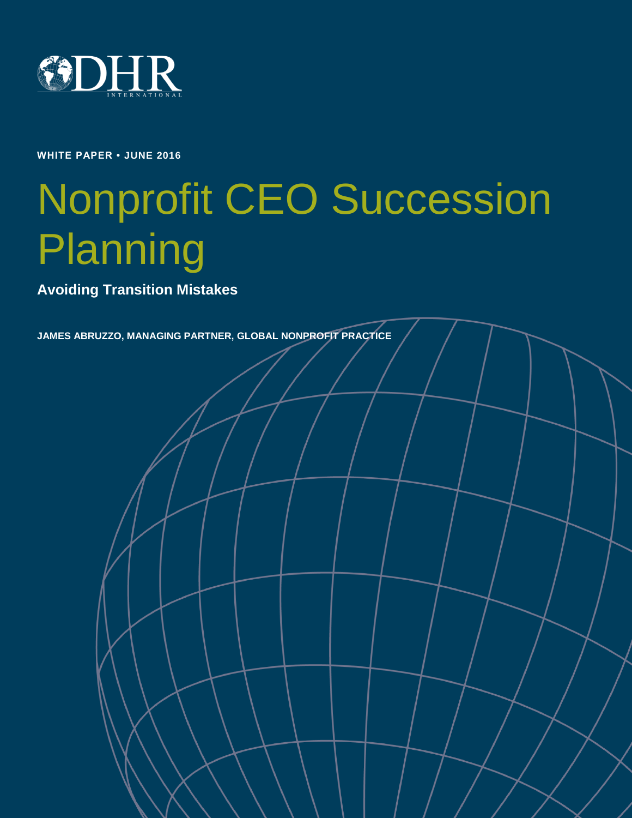

**WHITE PAPER • JUNE 2016**

# Nonprofit CEO Succession Planning

Copyright © 2016 DHR International, Inc. All Rights Reserved. **Nonprofit CEO succession planning** •

**Avoiding Transition Mistakes**

**JAMES ABRUZZO, MANAGING PARTNER, GLOBAL NONPROFIT PRACTICE**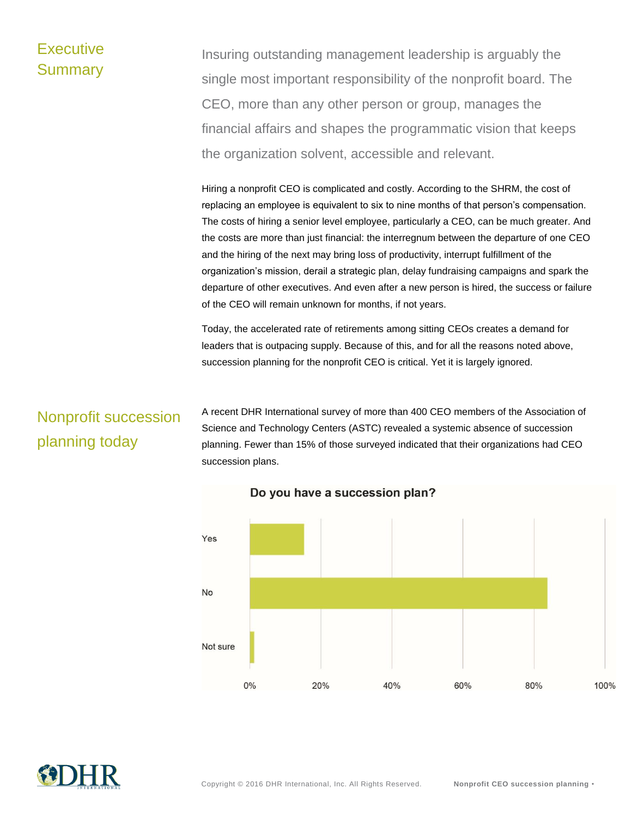## **Executive** Summary

Insuring outstanding management leadership is arguably the single most important responsibility of the nonprofit board. The CEO, more than any other person or group, manages the financial affairs and shapes the programmatic vision that keeps the organization solvent, accessible and relevant.

Hiring a nonprofit CEO is complicated and costly. According to the SHRM, the cost of replacing an employee is equivalent to six to nine months of that person's compensation. The costs of hiring a senior level employee, particularly a CEO, can be much greater. And the costs are more than just financial: the interregnum between the departure of one CEO and the hiring of the next may bring loss of productivity, interrupt fulfillment of the organization's mission, derail a strategic plan, delay fundraising campaigns and spark the departure of other executives. And even after a new person is hired, the success or failure of the CEO will remain unknown for months, if not years.

Today, the accelerated rate of retirements among sitting CEOs creates a demand for leaders that is outpacing supply. Because of this, and for all the reasons noted above, succession planning for the nonprofit CEO is critical. Yet it is largely ignored.

A recent DHR International survey of more than 400 CEO members of the Association of Science and Technology Centers (ASTC) revealed a systemic absence of succession planning. Fewer than 15% of those surveyed indicated that their organizations had CEO

# Nonprofit succession planning today



Do you have a succession plan?

succession plans.

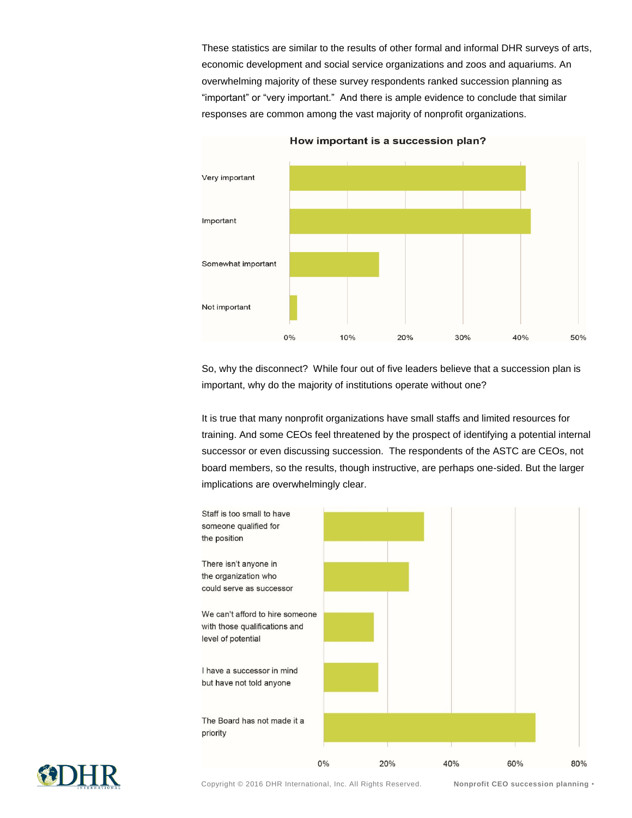These statistics are similar to the results of other formal and informal DHR surveys of arts, economic development and social service organizations and zoos and aquariums. An overwhelming majority of these survey respondents ranked succession planning as "important" or "very important." And there is ample evidence to conclude that similar responses are common among the vast majority of nonprofit organizations.



How important is a succession plan?

So, why the disconnect? While four out of five leaders believe that a succession plan is important, why do the majority of institutions operate without one?

It is true that many nonprofit organizations have small staffs and limited resources for training. And some CEOs feel threatened by the prospect of identifying a potential internal successor or even discussing succession. The respondents of the ASTC are CEOs, not board members, so the results, though instructive, are perhaps one-sided. But the larger implications are overwhelmingly clear.



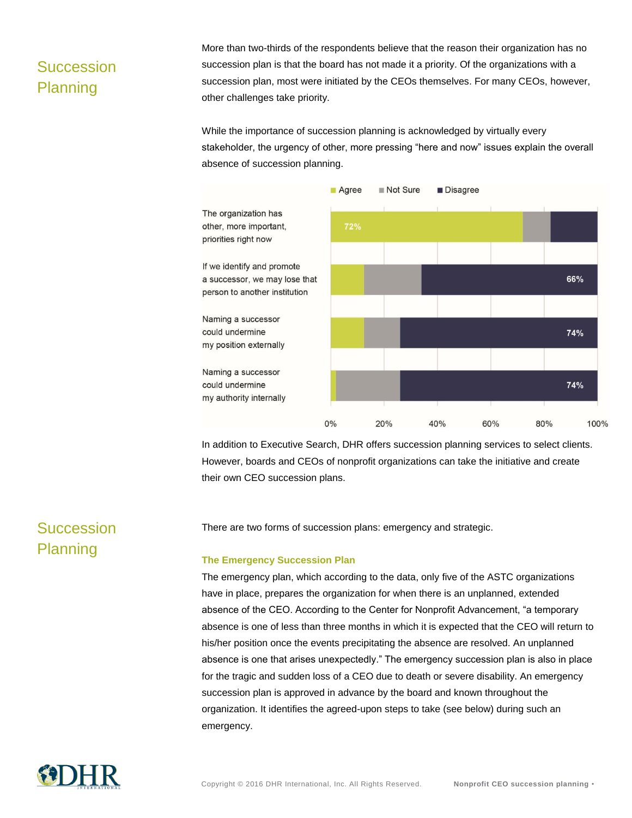## Succession Planning

More than two-thirds of the respondents believe that the reason their organization has no succession plan is that the board has not made it a priority. Of the organizations with a succession plan, most were initiated by the CEOs themselves. For many CEOs, however, other challenges take priority.

While the importance of succession planning is acknowledged by virtually every stakeholder, the urgency of other, more pressing "here and now" issues explain the overall absence of succession planning.



In addition to Executive Search, DHR offers succession planning services to select clients. However, boards and CEOs of nonprofit organizations can take the initiative and create their own CEO succession plans.

There are two forms of succession plans: emergency and strategic.

## **Succession** Planning

#### **The Emergency Succession Plan**

The emergency plan, which according to the data, only five of the ASTC organizations have in place, prepares the organization for when there is an unplanned, extended absence of the CEO. According to the Center for Nonprofit Advancement, "a temporary absence is one of less than three months in which it is expected that the CEO will return to his/her position once the events precipitating the absence are resolved. An unplanned absence is one that arises unexpectedly." The emergency succession plan is also in place for the tragic and sudden loss of a CEO due to death or severe disability. An emergency succession plan is approved in advance by the board and known throughout the organization. It identifies the agreed-upon steps to take (see below) during such an emergency.

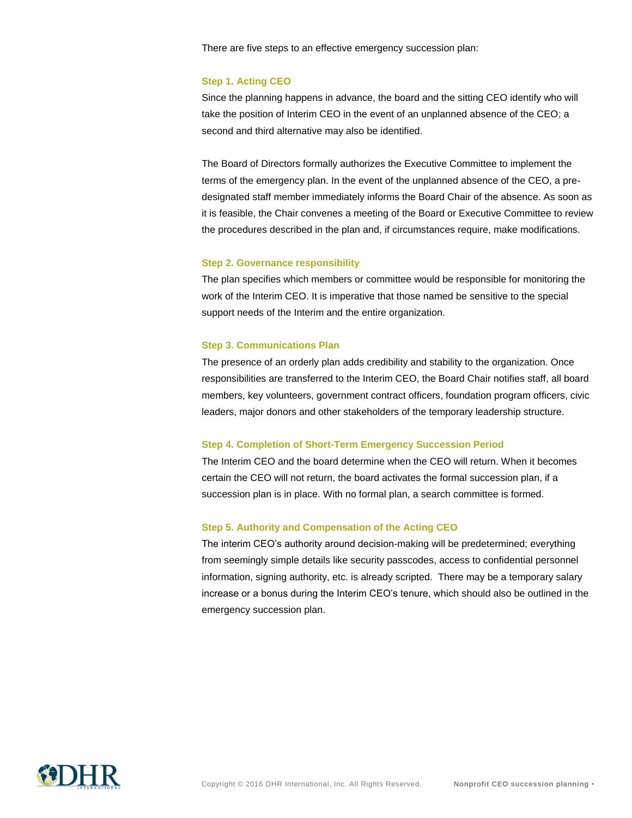There are five steps to an effective emergency succession plan:

#### **Step 1. Acting CEO**

Since the planning happens in advance, the board and the sitting CEO identify who will take the position of Interim CEO in the event of an unplanned absence of the CEO; a second and third alternative may also be identified.

The Board of Directors formally authorizes the Executive Committee to implement the terms of the emergency plan. In the event of the unplanned absence of the CEO, a predesignated staff member immediately informs the Board Chair of the absence. As soon as it is feasible, the Chair convenes a meeting of the Board or Executive Committee to review the procedures described in the plan and, if circumstances require, make modifications.

#### **Step 2. Governance responsibility**

The plan specifies which members or committee would be responsible for monitoring the work of the Interim CEO. It is imperative that those named be sensitive to the special support needs of the Interim and the entire organization.

#### **Step 3. Communications Plan**

The presence of an orderly plan adds credibility and stability to the organization. Once responsibilities are transferred to the Interim CEO, the Board Chair notifies staff, all board members, key volunteers, government contract officers, foundation program officers, civic leaders, major donors and other stakeholders of the temporary leadership structure.

#### **Step 4. Completion of Short-Term Emergency Succession Period**

The Interim CEO and the board determine when the CEO will return. When it becomes certain the CEO will not return, the board activates the formal succession plan, if a succession plan is in place. With no formal plan, a search committee is formed.

#### **Step 5. Authority and Compensation of the Acting CEO**

The interim CEO's authority around decision-making will be predetermined; everything from seemingly simple details like security passcodes, access to confidential personnel information, signing authority, etc. is already scripted. There may be a temporary salary increase or a bonus during the Interim CEO's tenure, which should also be outlined in the emergency succession plan.

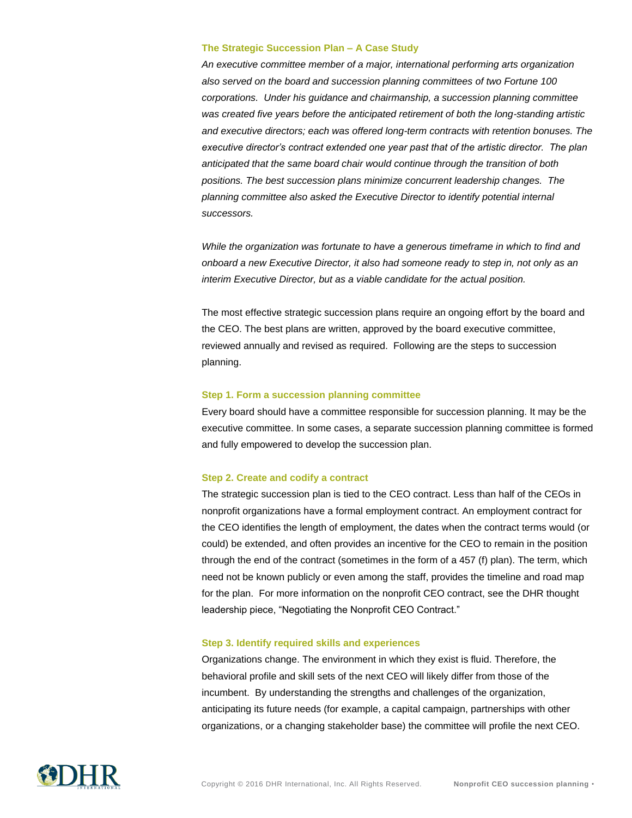#### **The Strategic Succession Plan – A Case Study**

*An executive committee member of a major, international performing arts organization also served on the board and succession planning committees of two Fortune 100 corporations. Under his guidance and chairmanship, a succession planning committee was created five years before the anticipated retirement of both the long-standing artistic and executive directors; each was offered long-term contracts with retention bonuses. The executive director's contract extended one year past that of the artistic director. The plan anticipated that the same board chair would continue through the transition of both positions. The best succession plans minimize concurrent leadership changes. The planning committee also asked the Executive Director to identify potential internal successors.*

*While the organization was fortunate to have a generous timeframe in which to find and onboard a new Executive Director, it also had someone ready to step in, not only as an interim Executive Director, but as a viable candidate for the actual position.*

The most effective strategic succession plans require an ongoing effort by the board and the CEO. The best plans are written, approved by the board executive committee, reviewed annually and revised as required. Following are the steps to succession planning.

#### **Step 1. Form a succession planning committee**

Every board should have a committee responsible for succession planning. It may be the executive committee. In some cases, a separate succession planning committee is formed and fully empowered to develop the succession plan.

#### **Step 2. Create and codify a contract**

The strategic succession plan is tied to the CEO contract. Less than half of the CEOs in nonprofit organizations have a formal employment contract. An employment contract for the CEO identifies the length of employment, the dates when the contract terms would (or could) be extended, and often provides an incentive for the CEO to remain in the position through the end of the contract (sometimes in the form of a 457 (f) plan). The term, which need not be known publicly or even among the staff, provides the timeline and road map for the plan. For more information on the nonprofit CEO contract, see the DHR thought leadership piece, "Negotiating the Nonprofit CEO Contract."

#### **Step 3. Identify required skills and experiences**

Organizations change. The environment in which they exist is fluid. Therefore, the behavioral profile and skill sets of the next CEO will likely differ from those of the incumbent. By understanding the strengths and challenges of the organization, anticipating its future needs (for example, a capital campaign, partnerships with other organizations, or a changing stakeholder base) the committee will profile the next CEO.

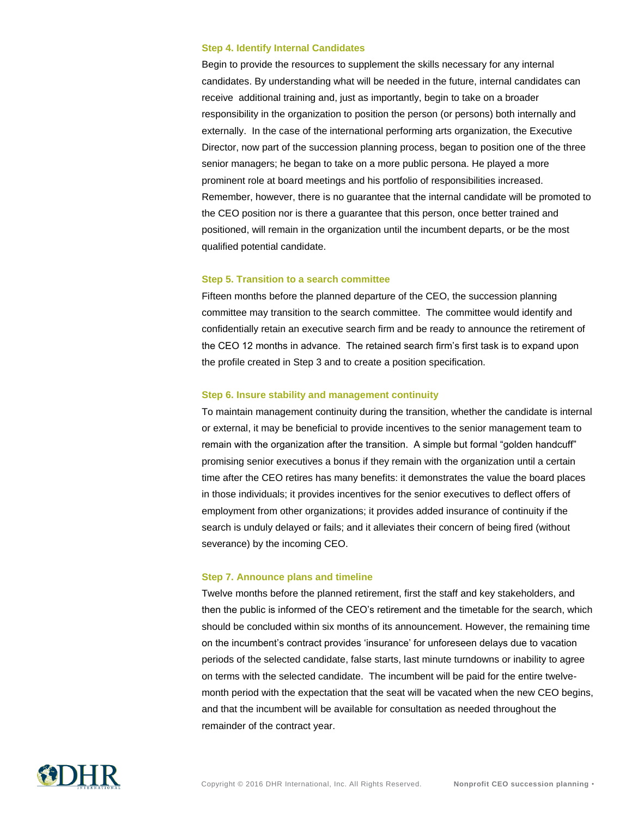#### **Step 4. Identify Internal Candidates**

Begin to provide the resources to supplement the skills necessary for any internal candidates. By understanding what will be needed in the future, internal candidates can receive additional training and, just as importantly, begin to take on a broader responsibility in the organization to position the person (or persons) both internally and externally. In the case of the international performing arts organization, the Executive Director, now part of the succession planning process, began to position one of the three senior managers; he began to take on a more public persona. He played a more prominent role at board meetings and his portfolio of responsibilities increased. Remember, however, there is no guarantee that the internal candidate will be promoted to the CEO position nor is there a guarantee that this person, once better trained and positioned, will remain in the organization until the incumbent departs, or be the most qualified potential candidate.

#### **Step 5. Transition to a search committee**

Fifteen months before the planned departure of the CEO, the succession planning committee may transition to the search committee. The committee would identify and confidentially retain an executive search firm and be ready to announce the retirement of the CEO 12 months in advance. The retained search firm's first task is to expand upon the profile created in Step 3 and to create a position specification.

#### **Step 6. Insure stability and management continuity**

To maintain management continuity during the transition, whether the candidate is internal or external, it may be beneficial to provide incentives to the senior management team to remain with the organization after the transition. A simple but formal "golden handcuff" promising senior executives a bonus if they remain with the organization until a certain time after the CEO retires has many benefits: it demonstrates the value the board places in those individuals; it provides incentives for the senior executives to deflect offers of employment from other organizations; it provides added insurance of continuity if the search is unduly delayed or fails; and it alleviates their concern of being fired (without severance) by the incoming CEO.

#### **Step 7. Announce plans and timeline**

Twelve months before the planned retirement, first the staff and key stakeholders, and then the public is informed of the CEO's retirement and the timetable for the search, which should be concluded within six months of its announcement. However, the remaining time on the incumbent's contract provides 'insurance' for unforeseen delays due to vacation periods of the selected candidate, false starts, last minute turndowns or inability to agree on terms with the selected candidate. The incumbent will be paid for the entire twelvemonth period with the expectation that the seat will be vacated when the new CEO begins, and that the incumbent will be available for consultation as needed throughout the remainder of the contract year.

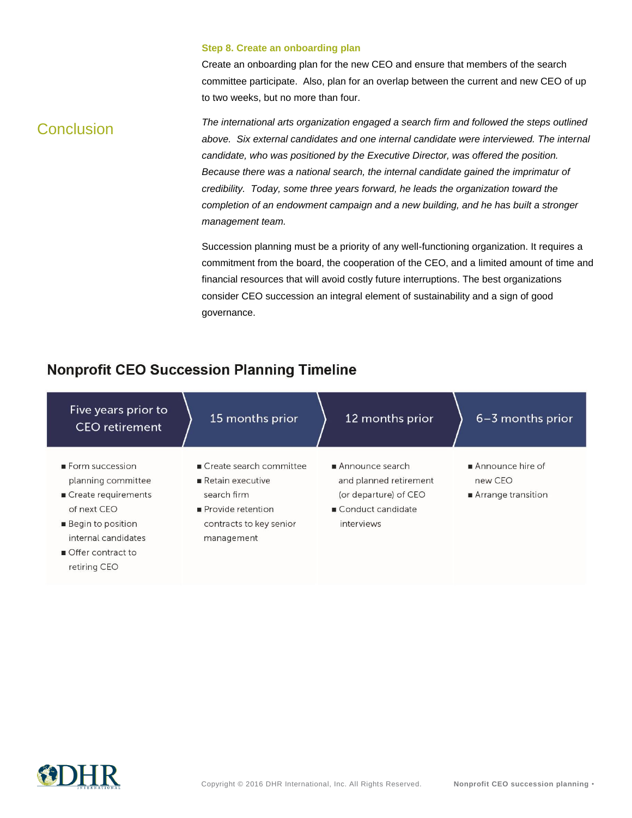#### **Step 8. Create an onboarding plan**

Create an onboarding plan for the new CEO and ensure that members of the search committee participate. Also, plan for an overlap between the current and new CEO of up to two weeks, but no more than four.

## Conclusion

*The international arts organization engaged a search firm and followed the steps outlined above. Six external candidates and one internal candidate were interviewed. The internal candidate, who was positioned by the Executive Director, was offered the position. Because there was a national search, the internal candidate gained the imprimatur of credibility. Today, some three years forward, he leads the organization toward the completion of an endowment campaign and a new building, and he has built a stronger management team.* 

Succession planning must be a priority of any well-functioning organization. It requires a commitment from the board, the cooperation of the CEO, and a limited amount of time and financial resources that will avoid costly future interruptions. The best organizations consider CEO succession an integral element of sustainability and a sign of good governance.

### **Nonprofit CEO Succession Planning Timeline**

| Five years prior to<br><b>CEO</b> retirement                                                                                                                        | 15 months prior                                                                                                                         | 12 months prior                                                                                         | 6-3 months prior                                                                |
|---------------------------------------------------------------------------------------------------------------------------------------------------------------------|-----------------------------------------------------------------------------------------------------------------------------------------|---------------------------------------------------------------------------------------------------------|---------------------------------------------------------------------------------|
| Form succession<br>planning committee<br>Create requirements<br>of next CEO<br><b>Begin to position</b><br>internal candidates<br>Offer contract to<br>retiring CEO | Create search committee<br>$\blacksquare$ Retain executive<br>search firm<br>Provide retention<br>contracts to key senior<br>management | Announce search<br>and planned retirement<br>(or departure) of CEO<br>■ Conduct candidate<br>interviews | $\blacksquare$ Announce hire of<br>new CFO<br>$\blacksquare$ Arrange transition |